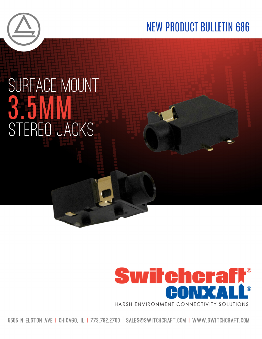

## **NEW PRODUCT BULLETIN 686**

## SURFACE MOUNT STEREO JACKS



5555 N ELSTON AVE I CHICAGO. IL I 773.792.2700 I SALES@SWITCHCRAFT.COM I WWW.SWITCHCRAFT.COM